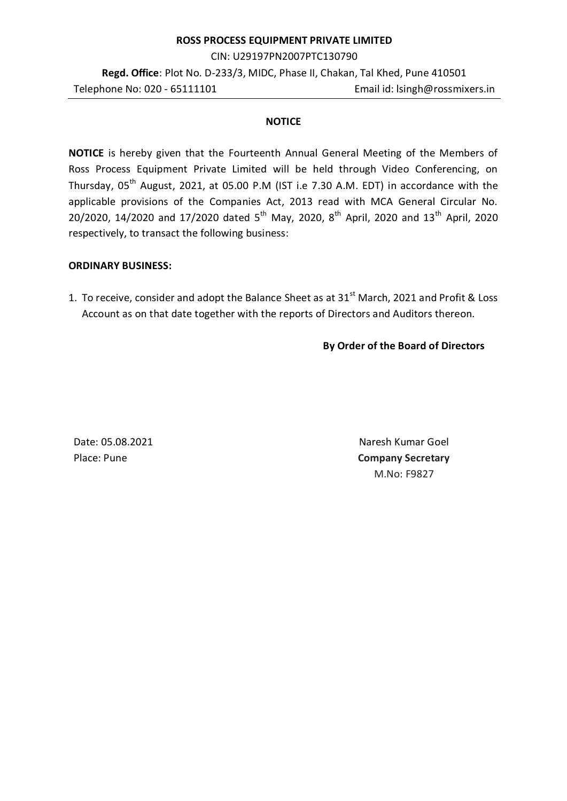#### **ROSS PROCESS EQUIPMENT PRIVATE LIMITED**

CIN: U29197PN2007PTC130790

**Regd. Office**: Plot No. D-233/3, MIDC, Phase II, Chakan, Tal Khed, Pune 410501 Telephone No: 020 - 65111101 Email id: lsingh@rossmixers.in

### **NOTICE**

**NOTICE** is hereby given that the Fourteenth Annual General Meeting of the Members of Ross Process Equipment Private Limited will be held through Video Conferencing, on Thursday,  $05<sup>th</sup>$  August, 2021, at 05.00 P.M (IST i.e 7.30 A.M. EDT) in accordance with the applicable provisions of the Companies Act, 2013 read with MCA General Circular No. 20/2020, 14/2020 and 17/2020 dated 5<sup>th</sup> May, 2020, 8<sup>th</sup> April, 2020 and 13<sup>th</sup> April, 2020 respectively, to transact the following business:

### **ORDINARY BUSINESS:**

1. To receive, consider and adopt the Balance Sheet as at  $31<sup>st</sup>$  March, 2021 and Profit & Loss Account as on that date together with the reports of Directors and Auditors thereon.

# **By Order of the Board of Directors**

Date: 05.08.2021 Naresh Kumar Goel Place: Pune **Company Secretary** M.No: F9827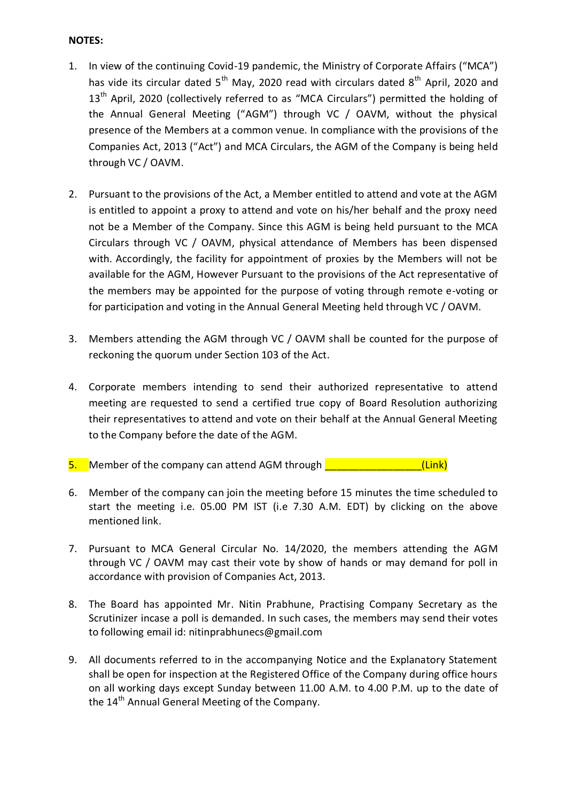# **NOTES:**

- 1. In view of the continuing Covid-19 pandemic, the Ministry of Corporate Affairs ("MCA") has vide its circular dated 5<sup>th</sup> May, 2020 read with circulars dated 8<sup>th</sup> April, 2020 and 13<sup>th</sup> April, 2020 (collectively referred to as "MCA Circulars") permitted the holding of the Annual General Meeting ("AGM") through VC / OAVM, without the physical presence of the Members at a common venue. In compliance with the provisions of the Companies Act, 2013 ("Act") and MCA Circulars, the AGM of the Company is being held through VC / OAVM.
- 2. Pursuant to the provisions of the Act, a Member entitled to attend and vote at the AGM is entitled to appoint a proxy to attend and vote on his/her behalf and the proxy need not be a Member of the Company. Since this AGM is being held pursuant to the MCA Circulars through VC / OAVM, physical attendance of Members has been dispensed with. Accordingly, the facility for appointment of proxies by the Members will not be available for the AGM, However Pursuant to the provisions of the Act representative of the members may be appointed for the purpose of voting through remote e-voting or for participation and voting in the Annual General Meeting held through VC / OAVM.
- 3. Members attending the AGM through VC / OAVM shall be counted for the purpose of reckoning the quorum under Section 103 of the Act.
- 4. Corporate members intending to send their authorized representative to attend meeting are requested to send a certified true copy of Board Resolution authorizing their representatives to attend and vote on their behalf at the Annual General Meeting to the Company before the date of the AGM.
- 5. Member of the company can attend AGM through **Fig. 1.1. 1998** [Link]
- 6. Member of the company can join the meeting before 15 minutes the time scheduled to start the meeting i.e. 05.00 PM IST (i.e 7.30 A.M. EDT) by clicking on the above mentioned link.
- 7. Pursuant to MCA General Circular No. 14/2020, the members attending the AGM through VC / OAVM may cast their vote by show of hands or may demand for poll in accordance with provision of Companies Act, 2013.
- 8. The Board has appointed Mr. Nitin Prabhune, Practising Company Secretary as the Scrutinizer incase a poll is demanded. In such cases, the members may send their votes to following email id: nitinprabhunecs@gmail.com
- 9. All documents referred to in the accompanying Notice and the Explanatory Statement shall be open for inspection at the Registered Office of the Company during office hours on all working days except Sunday between 11.00 A.M. to 4.00 P.M. up to the date of the 14<sup>th</sup> Annual General Meeting of the Company.